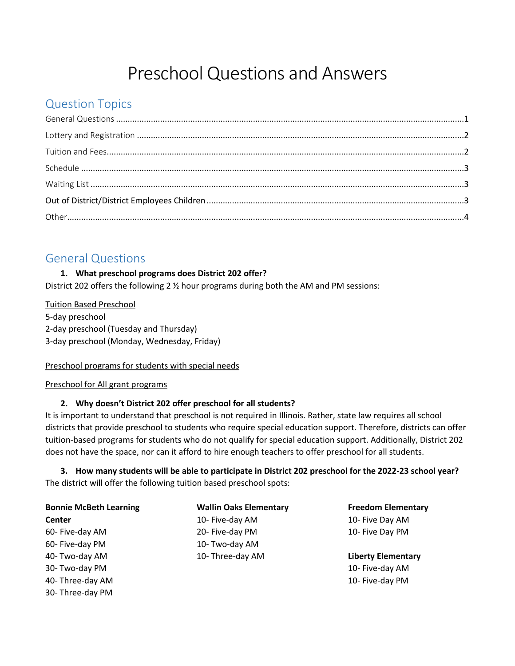# Preschool Questions and Answers

# Question Topics

### <span id="page-0-0"></span>General Questions

### **1. What preschool programs does District 202 offer?**

District 202 offers the following 2 ½ hour programs during both the AM and PM sessions:

Tuition Based Preschool 5-day preschool 2-day preschool (Tuesday and Thursday) 3-day preschool (Monday, Wednesday, Friday)

### Preschool programs for students with special needs

Preschool for All grant programs

30- Three-day PM

### **2. Why doesn't District 202 offer preschool for all students?**

It is important to understand that preschool is not required in Illinois. Rather, state law requires all school districts that provide preschool to students who require special education support. Therefore, districts can offer tuition-based programs for students who do not qualify for special education support. Additionally, District 202 does not have the space, nor can it afford to hire enough teachers to offer preschool for all students.

### **3. How many students will be able to participate in District 202 preschool for the 2022-23 school year?**  The district will offer the following tuition based preschool spots:

| <b>Bonnie McBeth Learning</b> | <b>Wallin Oaks Elementary</b> | <b>Freedom Elementary</b> |
|-------------------------------|-------------------------------|---------------------------|
| Center                        | 10- Five-day AM               | 10- Five Day AM           |
| 60- Five-day AM               | 20- Five-day PM               | 10- Five Day PM           |
| 60- Five-day PM               | 10- Two-day AM                |                           |
| 40- Two-day AM                | 10- Three-day AM              | <b>Liberty Elementary</b> |
| 30- Two-day PM                |                               | 10- Five-day AM           |
| 40- Three-day AM              |                               | 10- Five-day PM           |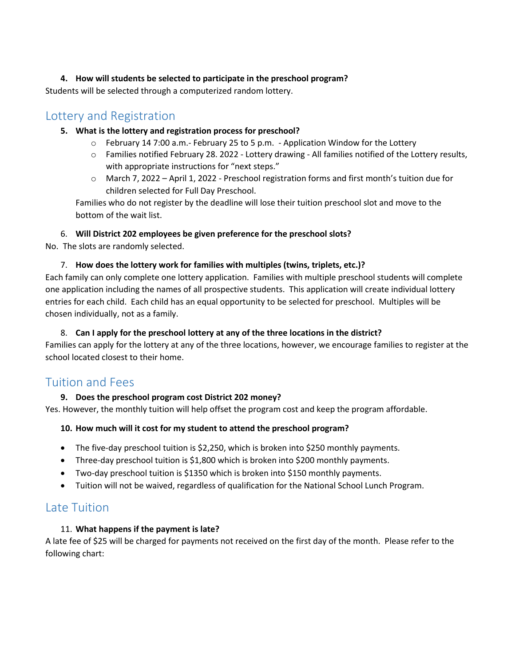### **4. How will students be selected to participate in the preschool program?**

Students will be selected through a computerized random lottery.

### <span id="page-1-0"></span>Lottery and Registration

### **5. What is the lottery and registration process for preschool?**

- $\circ$  February 14 7:00 a.m.- February 25 to 5 p.m. Application Window for the Lottery
- o Families notified February 28. 2022 Lottery drawing All families notified of the Lottery results, with appropriate instructions for "next steps."
- o March 7, 2022 April 1, 2022 Preschool registration forms and first month's tuition due for children selected for Full Day Preschool.

Families who do not register by the deadline will lose their tuition preschool slot and move to the bottom of the wait list.

### 6. **Will District 202 employees be given preference for the preschool slots?**

No. The slots are randomly selected.

### 7. **How does the lottery work for families with multiples (twins, triplets, etc.)?**

Each family can only complete one lottery application. Families with multiple preschool students will complete one application including the names of all prospective students. This application will create individual lottery entries for each child. Each child has an equal opportunity to be selected for preschool. Multiples will be chosen individually, not as a family.

### 8. **Can I apply for the preschool lottery at any of the three locations in the district?**

Families can apply for the lottery at any of the three locations, however, we encourage families to register at the school located closest to their home.

### <span id="page-1-1"></span>Tuition and Fees

### **9. Does the preschool program cost District 202 money?**

Yes. However, the monthly tuition will help offset the program cost and keep the program affordable.

### **10. How much will it cost for my student to attend the preschool program?**

- The five-day preschool tuition is \$2,250, which is broken into \$250 monthly payments.
- Three-day preschool tuition is \$1,800 which is broken into \$200 monthly payments.
- Two-day preschool tuition is \$1350 which is broken into \$150 monthly payments.
- Tuition will not be waived, regardless of qualification for the National School Lunch Program.

### Late Tuition

### 11. **What happens if the payment is late?**

A late fee of \$25 will be charged for payments not received on the first day of the month. Please refer to the following chart: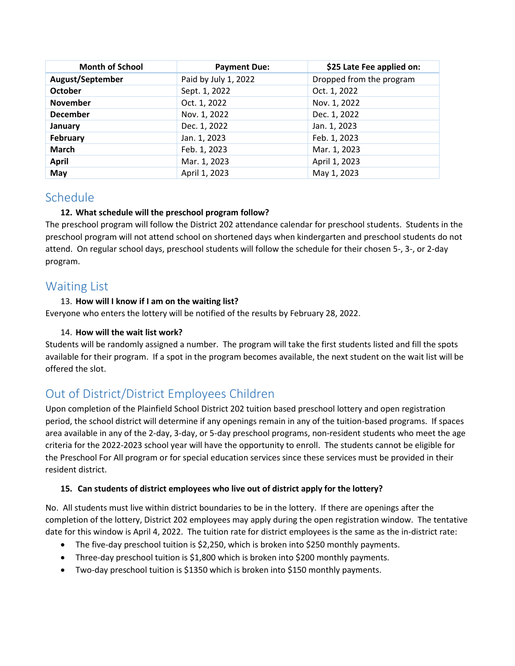| <b>Month of School</b> | <b>Payment Due:</b>  | \$25 Late Fee applied on: |
|------------------------|----------------------|---------------------------|
| August/September       | Paid by July 1, 2022 | Dropped from the program  |
| <b>October</b>         | Sept. 1, 2022        | Oct. 1, 2022              |
| <b>November</b>        | Oct. 1, 2022         | Nov. 1, 2022              |
| <b>December</b>        | Nov. 1, 2022         | Dec. 1, 2022              |
| January                | Dec. 1, 2022         | Jan. 1, 2023              |
| February               | Jan. 1, 2023         | Feb. 1, 2023              |
| <b>March</b>           | Feb. 1, 2023         | Mar. 1, 2023              |
| <b>April</b>           | Mar. 1, 2023         | April 1, 2023             |
| May                    | April 1, 2023        | May 1, 2023               |

### <span id="page-2-0"></span>Schedule

### **12. What schedule will the preschool program follow?**

The preschool program will follow the District 202 attendance calendar for preschool students. Students in the preschool program will not attend school on shortened days when kindergarten and preschool students do not attend. On regular school days, preschool students will follow the schedule for their chosen 5-, 3-, or 2-day program.

### <span id="page-2-1"></span>Waiting List

### 13. **How will I know if I am on the waiting list?**

Everyone who enters the lottery will be notified of the results by February 28, 2022.

### 14. **How will the wait list work?**

Students will be randomly assigned a number. The program will take the first students listed and fill the spots available for their program. If a spot in the program becomes available, the next student on the wait list will be offered the slot.

## <span id="page-2-2"></span>Out of District/District Employees Children

Upon completion of the Plainfield School District 202 tuition based preschool lottery and open registration period, the school district will determine if any openings remain in any of the tuition-based programs. If spaces area available in any of the 2-day, 3-day, or 5-day preschool programs, non-resident students who meet the age criteria for the 2022-2023 school year will have the opportunity to enroll. The students cannot be eligible for the Preschool For All program or for special education services since these services must be provided in their resident district.

### **15. Can students of district employees who live out of district apply for the lottery?**

No. All students must live within district boundaries to be in the lottery. If there are openings after the completion of the lottery, District 202 employees may apply during the open registration window. The tentative date for this window is April 4, 2022. The tuition rate for district employees is the same as the in-district rate:

- The five-day preschool tuition is \$2,250, which is broken into \$250 monthly payments.
- Three-day preschool tuition is \$1,800 which is broken into \$200 monthly payments.
- Two-day preschool tuition is \$1350 which is broken into \$150 monthly payments.